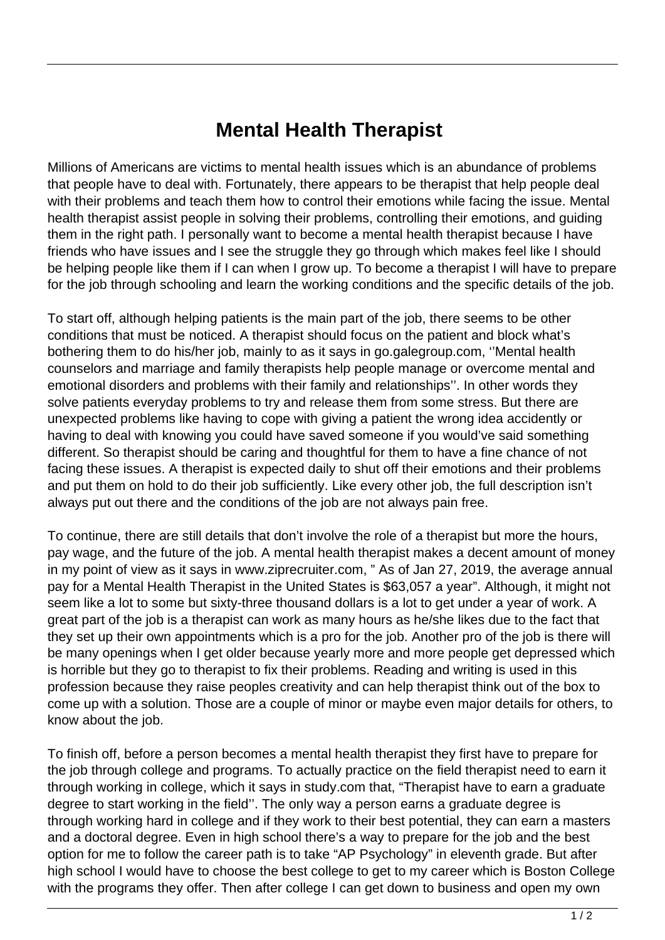## **Mental Health Therapist**

Millions of Americans are victims to mental health issues which is an abundance of problems that people have to deal with. Fortunately, there appears to be therapist that help people deal with their problems and teach them how to control their emotions while facing the issue. Mental health therapist assist people in solving their problems, controlling their emotions, and guiding them in the right path. I personally want to become a mental health therapist because I have friends who have issues and I see the struggle they go through which makes feel like I should be helping people like them if I can when I grow up. To become a therapist I will have to prepare for the job through schooling and learn the working conditions and the specific details of the job.

To start off, although helping patients is the main part of the job, there seems to be other conditions that must be noticed. A therapist should focus on the patient and block what's bothering them to do his/her job, mainly to as it says in go.galegroup.com, ''Mental health counselors and marriage and family therapists help people manage or overcome mental and emotional disorders and problems with their family and relationships''. In other words they solve patients everyday problems to try and release them from some stress. But there are unexpected problems like having to cope with giving a patient the wrong idea accidently or having to deal with knowing you could have saved someone if you would've said something different. So therapist should be caring and thoughtful for them to have a fine chance of not facing these issues. A therapist is expected daily to shut off their emotions and their problems and put them on hold to do their job sufficiently. Like every other job, the full description isn't always put out there and the conditions of the job are not always pain free.

To continue, there are still details that don't involve the role of a therapist but more the hours, pay wage, and the future of the job. A mental health therapist makes a decent amount of money in my point of view as it says in www.ziprecruiter.com, " As of Jan 27, 2019, the average annual pay for a Mental Health Therapist in the United States is \$63,057 a year". Although, it might not seem like a lot to some but sixty-three thousand dollars is a lot to get under a year of work. A great part of the job is a therapist can work as many hours as he/she likes due to the fact that they set up their own appointments which is a pro for the job. Another pro of the job is there will be many openings when I get older because yearly more and more people get depressed which is horrible but they go to therapist to fix their problems. Reading and writing is used in this profession because they raise peoples creativity and can help therapist think out of the box to come up with a solution. Those are a couple of minor or maybe even major details for others, to know about the job.

To finish off, before a person becomes a mental health therapist they first have to prepare for the job through college and programs. To actually practice on the field therapist need to earn it through working in college, which it says in study.com that, "Therapist have to earn a graduate degree to start working in the field''. The only way a person earns a graduate degree is through working hard in college and if they work to their best potential, they can earn a masters and a doctoral degree. Even in high school there's a way to prepare for the job and the best option for me to follow the career path is to take "AP Psychology" in eleventh grade. But after high school I would have to choose the best college to get to my career which is Boston College with the programs they offer. Then after college I can get down to business and open my own